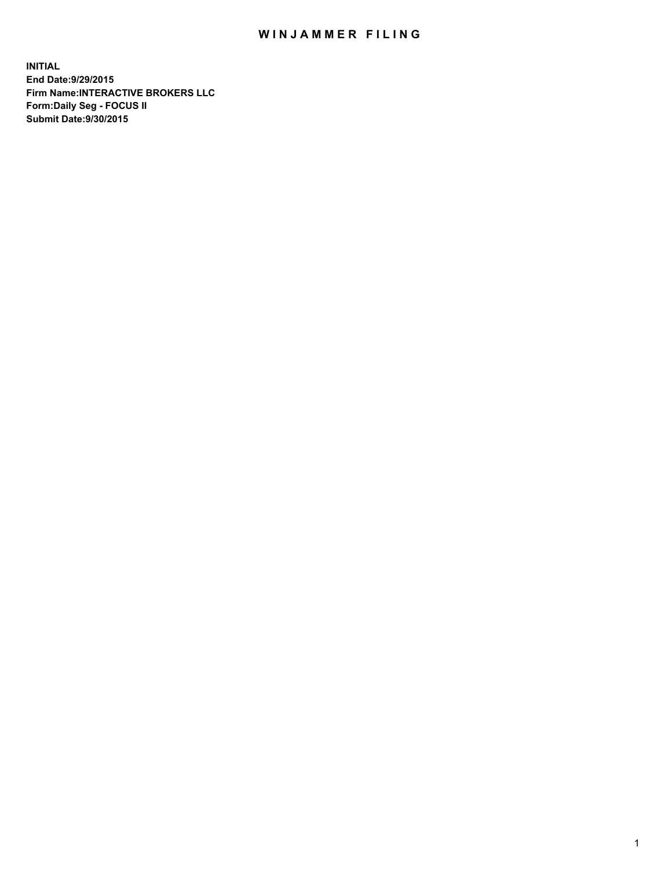## WIN JAMMER FILING

**INITIAL End Date:9/29/2015 Firm Name:INTERACTIVE BROKERS LLC Form:Daily Seg - FOCUS II Submit Date:9/30/2015**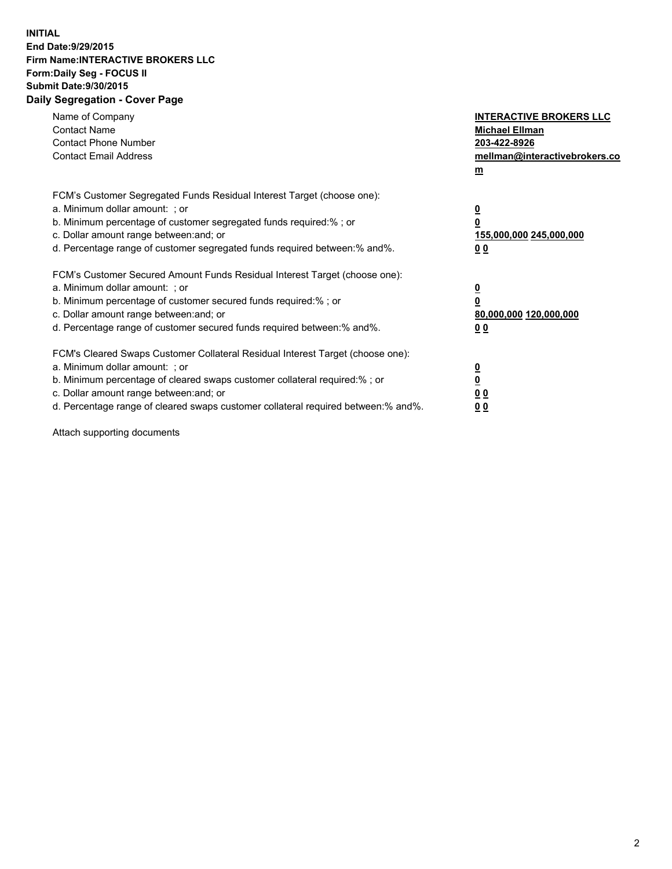## **INITIAL End Date:9/29/2015 Firm Name:INTERACTIVE BROKERS LLC Form:Daily Seg - FOCUS II Submit Date:9/30/2015 Daily Segregation - Cover Page**

| Name of Company<br><b>Contact Name</b><br><b>Contact Phone Number</b><br><b>Contact Email Address</b>                                                                                                                                                                                                                          | <b>INTERACTIVE BROKERS LLC</b><br><b>Michael Ellman</b><br>203-422-8926<br>mellman@interactivebrokers.co<br>$m$ |
|--------------------------------------------------------------------------------------------------------------------------------------------------------------------------------------------------------------------------------------------------------------------------------------------------------------------------------|-----------------------------------------------------------------------------------------------------------------|
| FCM's Customer Segregated Funds Residual Interest Target (choose one):<br>a. Minimum dollar amount: ; or<br>b. Minimum percentage of customer segregated funds required:% ; or<br>c. Dollar amount range between: and; or<br>d. Percentage range of customer segregated funds required between: % and %.                       | $\overline{\mathbf{0}}$<br>0<br>155,000,000 245,000,000<br>00                                                   |
| FCM's Customer Secured Amount Funds Residual Interest Target (choose one):<br>a. Minimum dollar amount: ; or<br>b. Minimum percentage of customer secured funds required:%; or<br>c. Dollar amount range between: and; or<br>d. Percentage range of customer secured funds required between: % and %.                          | $\overline{\mathbf{0}}$<br>0<br>80,000,000 120,000,000<br>0 <sub>0</sub>                                        |
| FCM's Cleared Swaps Customer Collateral Residual Interest Target (choose one):<br>a. Minimum dollar amount: ; or<br>b. Minimum percentage of cleared swaps customer collateral required:% ; or<br>c. Dollar amount range between: and; or<br>d. Percentage range of cleared swaps customer collateral required between:% and%. | $\overline{\mathbf{0}}$<br>$\underline{\mathbf{0}}$<br>0 <sub>0</sub><br>0 <sub>0</sub>                         |

Attach supporting documents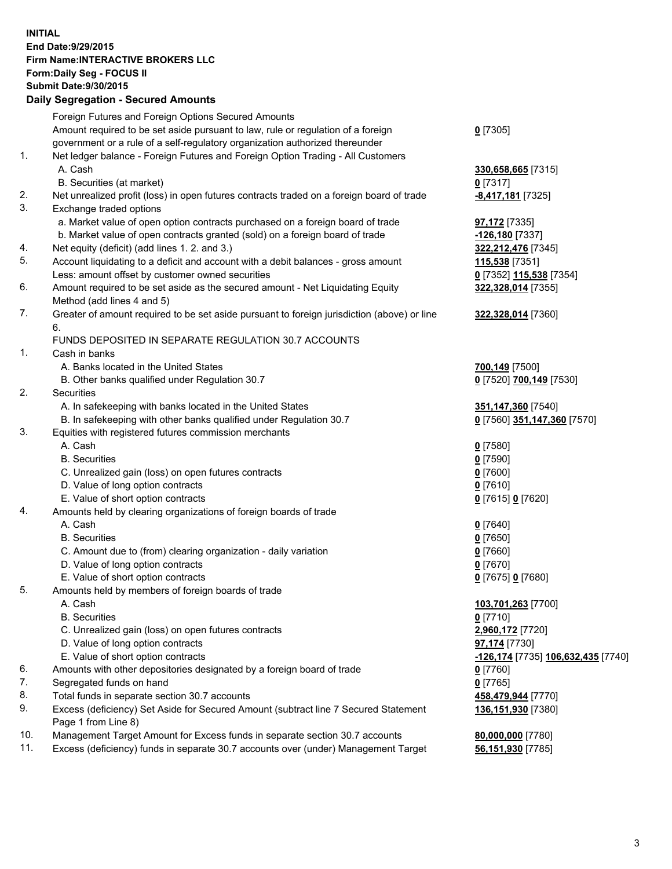## **INITIAL End Date:9/29/2015 Firm Name:INTERACTIVE BROKERS LLC Form:Daily Seg - FOCUS II Submit Date:9/30/2015 Daily Segregation - Secured Amounts**

|     | Dany Ocgregation - Oceanea Amounts                                                                         |                                    |
|-----|------------------------------------------------------------------------------------------------------------|------------------------------------|
|     | Foreign Futures and Foreign Options Secured Amounts                                                        |                                    |
|     | Amount required to be set aside pursuant to law, rule or regulation of a foreign                           | $0$ [7305]                         |
|     | government or a rule of a self-regulatory organization authorized thereunder                               |                                    |
| 1.  | Net ledger balance - Foreign Futures and Foreign Option Trading - All Customers                            |                                    |
|     | A. Cash                                                                                                    | 330,658,665 [7315]                 |
|     | B. Securities (at market)                                                                                  | $0$ [7317]                         |
| 2.  | Net unrealized profit (loss) in open futures contracts traded on a foreign board of trade                  | -8,417,181 [7325]                  |
| 3.  | Exchange traded options                                                                                    |                                    |
|     | a. Market value of open option contracts purchased on a foreign board of trade                             | 97,172 [7335]                      |
|     | b. Market value of open contracts granted (sold) on a foreign board of trade                               | -126,180 <sup>[7337]</sup>         |
| 4.  | Net equity (deficit) (add lines 1.2. and 3.)                                                               | 322,212,476 [7345]                 |
| 5.  | Account liquidating to a deficit and account with a debit balances - gross amount                          | 115,538 [7351]                     |
|     | Less: amount offset by customer owned securities                                                           | 0 [7352] 115,538 [7354]            |
| 6.  | Amount required to be set aside as the secured amount - Net Liquidating Equity                             | 322,328,014 [7355]                 |
|     | Method (add lines 4 and 5)                                                                                 |                                    |
| 7.  | Greater of amount required to be set aside pursuant to foreign jurisdiction (above) or line                | 322,328,014 [7360]                 |
|     | 6.                                                                                                         |                                    |
|     | FUNDS DEPOSITED IN SEPARATE REGULATION 30.7 ACCOUNTS                                                       |                                    |
| 1.  | Cash in banks                                                                                              |                                    |
|     | A. Banks located in the United States                                                                      | 700,149 [7500]                     |
|     | B. Other banks qualified under Regulation 30.7                                                             | 0 [7520] 700,149 [7530]            |
| 2.  | Securities                                                                                                 |                                    |
|     | A. In safekeeping with banks located in the United States                                                  | 351,147,360 [7540]                 |
|     | B. In safekeeping with other banks qualified under Regulation 30.7                                         | 0 [7560] 351,147,360 [7570]        |
| 3.  | Equities with registered futures commission merchants                                                      |                                    |
|     | A. Cash                                                                                                    | $0$ [7580]                         |
|     | <b>B.</b> Securities                                                                                       | $0$ [7590]                         |
|     | C. Unrealized gain (loss) on open futures contracts                                                        | $0$ [7600]                         |
|     | D. Value of long option contracts                                                                          | $0$ [7610]                         |
|     | E. Value of short option contracts                                                                         | 0 [7615] 0 [7620]                  |
| 4.  | Amounts held by clearing organizations of foreign boards of trade                                          |                                    |
|     | A. Cash                                                                                                    | $0$ [7640]                         |
|     | <b>B.</b> Securities                                                                                       | $0$ [7650]                         |
|     | C. Amount due to (from) clearing organization - daily variation                                            | $0$ [7660]                         |
|     | D. Value of long option contracts                                                                          | $0$ [7670]                         |
|     | E. Value of short option contracts                                                                         | 0 [7675] 0 [7680]                  |
| 5.  | Amounts held by members of foreign boards of trade                                                         |                                    |
|     | A. Cash                                                                                                    | 103,701,263 [7700]                 |
|     | <b>B.</b> Securities                                                                                       | $0$ [7710]                         |
|     | C. Unrealized gain (loss) on open futures contracts                                                        | 2,960,172 [7720]                   |
|     | D. Value of long option contracts                                                                          | 97,174 [7730]                      |
|     | E. Value of short option contracts                                                                         | -126,174 [7735] 106,632,435 [7740] |
| 6.  | Amounts with other depositories designated by a foreign board of trade                                     | 0 [7760]                           |
| 7.  | Segregated funds on hand                                                                                   | $0$ [7765]                         |
| 8.  | Total funds in separate section 30.7 accounts                                                              | 458,479,944 [7770]                 |
| 9.  | Excess (deficiency) Set Aside for Secured Amount (subtract line 7 Secured Statement<br>Page 1 from Line 8) | 136,151,930 [7380]                 |
| 10. | Management Target Amount for Excess funds in separate section 30.7 accounts                                | 80,000,000 [7780]                  |
| 11. | Excess (deficiency) funds in separate 30.7 accounts over (under) Management Target                         | 56,151,930 [7785]                  |
|     |                                                                                                            |                                    |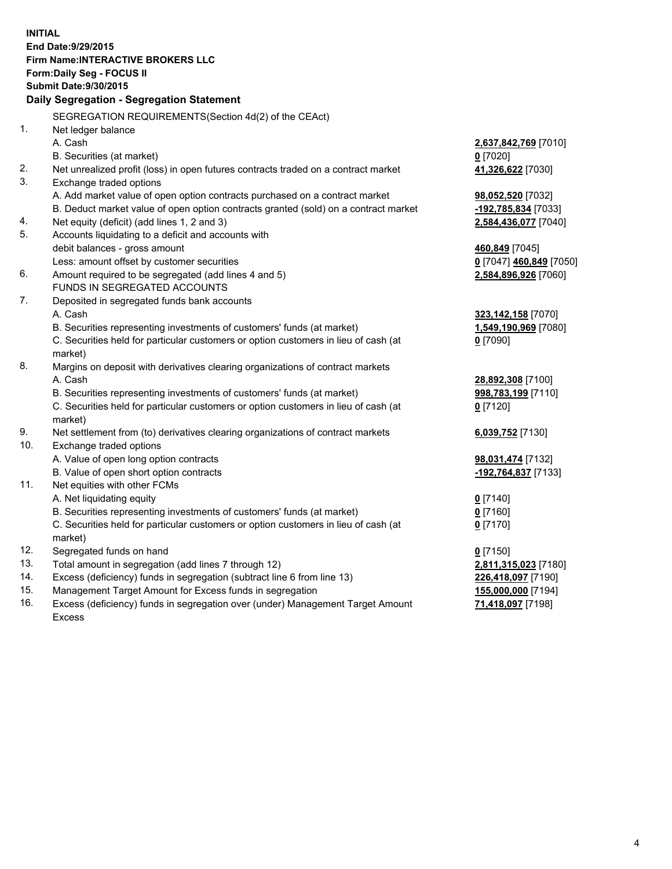**INITIAL End Date:9/29/2015 Firm Name:INTERACTIVE BROKERS LLC Form:Daily Seg - FOCUS II Submit Date:9/30/2015 Daily Segregation - Segregation Statement** SEGREGATION REQUIREMENTS(Section 4d(2) of the CEAct) 1. Net ledger balance A. Cash **2,637,842,769** [7010] B. Securities (at market) **0** [7020] 2. Net unrealized profit (loss) in open futures contracts traded on a contract market **41,326,622** [7030] 3. Exchange traded options A. Add market value of open option contracts purchased on a contract market **98,052,520** [7032] B. Deduct market value of open option contracts granted (sold) on a contract market **-192,785,834** [7033] 4. Net equity (deficit) (add lines 1, 2 and 3) **2,584,436,077** [7040] 5. Accounts liquidating to a deficit and accounts with debit balances - gross amount **460,849** [7045] Less: amount offset by customer securities **0** [7047] **460,849** [7050] 6. Amount required to be segregated (add lines 4 and 5) **2,584,896,926** [7060] FUNDS IN SEGREGATED ACCOUNTS 7. Deposited in segregated funds bank accounts A. Cash **323,142,158** [7070] B. Securities representing investments of customers' funds (at market) **1,549,190,969** [7080] C. Securities held for particular customers or option customers in lieu of cash (at market) **0** [7090] 8. Margins on deposit with derivatives clearing organizations of contract markets A. Cash **28,892,308** [7100] B. Securities representing investments of customers' funds (at market) **998,783,199** [7110] C. Securities held for particular customers or option customers in lieu of cash (at market) **0** [7120] 9. Net settlement from (to) derivatives clearing organizations of contract markets **6,039,752** [7130] 10. Exchange traded options A. Value of open long option contracts **98,031,474** [7132] B. Value of open short option contracts **-192,764,837** [7133] 11. Net equities with other FCMs A. Net liquidating equity **0** [7140] B. Securities representing investments of customers' funds (at market) **0** [7160] C. Securities held for particular customers or option customers in lieu of cash (at market) **0** [7170] 12. Segregated funds on hand **0** [7150] 13. Total amount in segregation (add lines 7 through 12) **2,811,315,023** [7180] 14. Excess (deficiency) funds in segregation (subtract line 6 from line 13) **226,418,097** [7190] 15. Management Target Amount for Excess funds in segregation **155,000,000** [7194] **71,418,097** [7198]

16. Excess (deficiency) funds in segregation over (under) Management Target Amount Excess